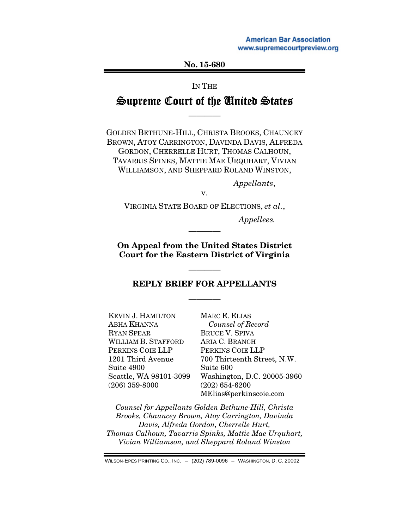**American Bar Association** www.supremecourtpreview.org

No. 15-68[0](supremecourtpreview.org) 

IN THE

## Supreme Court of the United States

————

GOLDEN BETHUNE-HILL, CHRISTA BROOKS, CHAUNCEY BROWN, ATOY CARRINGTON, DAVINDA DAVIS, ALFREDA GORDON, CHERRELLE HURT, THOMAS CALHOUN, TAVARRIS SPINKS, MATTIE MAE URQUHART, VIVIAN WILLIAMSON, AND SHEPPARD ROLAND WINSTON,

*Appellants*,

VIRGINIA STATE BOARD OF ELECTIONS, *et al.*, *Appellees.* 

v.

On Appeal from the United States District Court for the Eastern District of Virginia

————

#### REPLY BRIEF FOR APPELLANTS

————

————

KEVIN J. HAMILTON ABHA KHANNA RYAN SPEAR WILLIAM B. STAFFORD PERKINS COIE LLP 1201 Third Avenue Suite 4900 Seattle, WA 98101-3099 (206) 359-8000 MARC E. ELIAS *Counsel of Record*  BRUCE V. SPIVA ARIA C. BRANCH PERKINS COIE LLP 700 Thirteenth Street, N.W. Suite 600 Washington, D.C. 20005-3960 (202) 654-6200 MElias@perkinscoie.com

*Counsel for Appellants Golden Bethune-Hill, Christa Brooks, Chauncey Brown, Atoy Carrington, Davinda Davis, Alfreda Gordon, Cherrelle Hurt, Thomas Calhoun, Tavarris Spinks, Mattie Mae Urquhart, Vivian Williamson, and Sheppard Roland Winston* 

WILSON-EPES PRINTING CO., INC. – (202) 789-0096 – WASHINGTON, D. C. 20002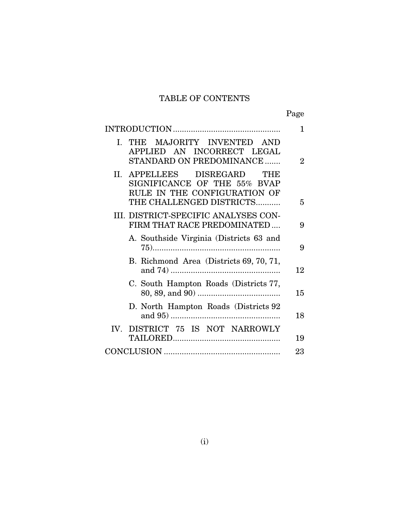# TABLE OF CONTENTS

Page

|                                                                                                                            | 1                           |
|----------------------------------------------------------------------------------------------------------------------------|-----------------------------|
| I. THE MAJORITY INVENTED AND<br>APPLIED AN INCORRECT LEGAL<br>STANDARD ON PREDOMINANCE                                     | $\mathcal{D}_{\mathcal{L}}$ |
| II. APPELLEES DISREGARD<br>THE<br>SIGNIFICANCE OF THE 55% BVAP<br>RULE IN THE CONFIGURATION OF<br>THE CHALLENGED DISTRICTS | 5                           |
|                                                                                                                            |                             |
| III. DISTRICT-SPECIFIC ANALYSES CON-<br>FIRM THAT RACE PREDOMINATED                                                        | 9                           |
| A. Southside Virginia (Districts 63 and                                                                                    | 9                           |
| B. Richmond Area (Districts 69, 70, 71,                                                                                    | 12                          |
| C. South Hampton Roads (Districts 77,                                                                                      | 15                          |
| D. North Hampton Roads (Districts 92)                                                                                      | 18                          |
| IV. DISTRICT 75 IS NOT NARROWLY                                                                                            |                             |
|                                                                                                                            | 19                          |
|                                                                                                                            | 23                          |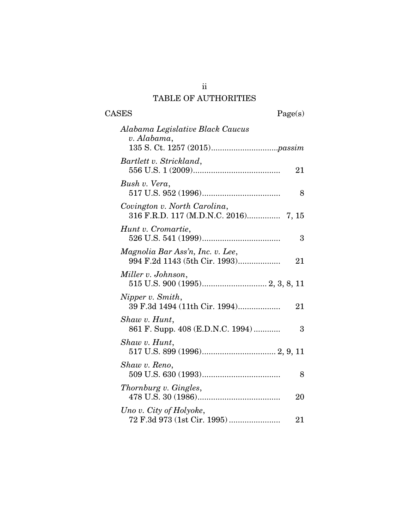# TABLE OF AUTHORITIES

CASES Page(s)

| Alabama Legislative Black Caucus<br>v. Alabama,                         |
|-------------------------------------------------------------------------|
| Bartlett v. Strickland,<br>21                                           |
| Bush v. Vera,<br>8                                                      |
| Covington v. North Carolina,<br>316 F.R.D. 117 (M.D.N.C. 2016) 7, 15    |
| Hunt v. Cromartie,<br>3                                                 |
| Magnolia Bar Ass'n, Inc. v. Lee,<br>994 F.2d 1143 (5th Cir. 1993)<br>21 |
| Miller v. Johnson,                                                      |
| Nipper v. Smith,<br>39 F.3d 1494 (11th Cir. 1994)<br>21                 |
| Shaw v. Hunt,<br>861 F. Supp. 408 (E.D.N.C. 1994)<br>3                  |
| Shaw v. Hunt,                                                           |
| Shaw v. Reno,<br>8                                                      |
| Thornburg v. Gingles,<br>20                                             |
| Uno v. City of Holyoke,<br>72 F.3d 973 (1st Cir. 1995)<br>21            |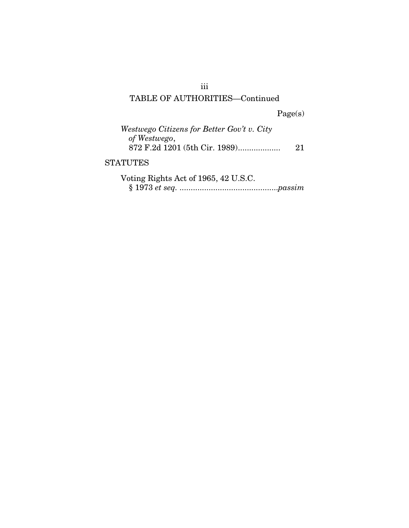# TABLE OF AUTHORITIES—Continued

Page(s)

| Westwego Citizens for Better Gov't v. City<br>of Westwego,<br>872 F.2d 1201 (5th Cir. 1989) | 21 |
|---------------------------------------------------------------------------------------------|----|
| <b>STATUTES</b>                                                                             |    |
| Voting Rights Act of 1965, 42 U.S.C.                                                        |    |

iii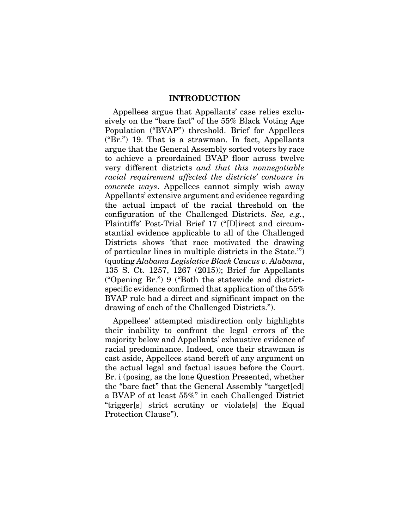#### INTRODUCTION

Appellees argue that Appellants' case relies exclusively on the "bare fact" of the 55% Black Voting Age Population ("BVAP") threshold. Brief for Appellees ("Br.") 19. That is a strawman. In fact, Appellants argue that the General Assembly sorted voters by race to achieve a preordained BVAP floor across twelve very different districts *and that this nonnegotiable racial requirement affected the districts' contours in concrete ways*. Appellees cannot simply wish away Appellants' extensive argument and evidence regarding the actual impact of the racial threshold on the configuration of the Challenged Districts. *See, e.g.*, Plaintiffs' Post-Trial Brief 17 ("[D]irect and circumstantial evidence applicable to all of the Challenged Districts shows 'that race motivated the drawing of particular lines in multiple districts in the State.'") (quoting *Alabama Legislative Black Caucus v. Alabama*, 135 S. Ct. 1257, 1267 (2015)); Brief for Appellants ("Opening Br.") 9 ("Both the statewide and districtspecific evidence confirmed that application of the 55% BVAP rule had a direct and significant impact on the drawing of each of the Challenged Districts.").

Appellees' attempted misdirection only highlights their inability to confront the legal errors of the majority below and Appellants' exhaustive evidence of racial predominance. Indeed, once their strawman is cast aside, Appellees stand bereft of any argument on the actual legal and factual issues before the Court. Br. i (posing, as the lone Question Presented, whether the "bare fact" that the General Assembly "target[ed] a BVAP of at least 55%" in each Challenged District "trigger[s] strict scrutiny or violate[s] the Equal Protection Clause").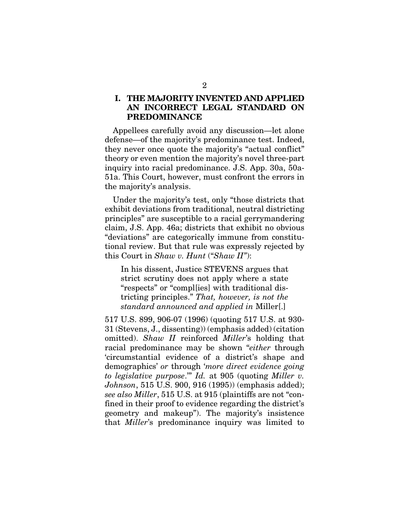## I. THE MAJORITY INVENTED AND APPLIED AN INCORRECT LEGAL STANDARD ON PREDOMINANCE

Appellees carefully avoid any discussion—let alone defense—of the majority's predominance test. Indeed, they never once quote the majority's "actual conflict" theory or even mention the majority's novel three-part inquiry into racial predominance. J.S. App. 30a, 50a-51a. This Court, however, must confront the errors in the majority's analysis.

Under the majority's test, only "those districts that exhibit deviations from traditional, neutral districting principles" are susceptible to a racial gerrymandering claim, J.S. App. 46a; districts that exhibit no obvious "deviations" are categorically immune from constitutional review. But that rule was expressly rejected by this Court in *Shaw v. Hunt* ("*Shaw II"*):

In his dissent, Justice STEVENS argues that strict scrutiny does not apply where a state "respects" or "compl[ies] with traditional districting principles." *That, however, is not the standard announced and applied in* Miller[.]

517 U.S. 899, 906-07 (1996) (quoting 517 U.S. at 930- 31 (Stevens, J., dissenting)) (emphasis added) (citation omitted). *Shaw II* reinforced *Miller*'s holding that racial predominance may be shown "*either* through 'circumstantial evidence of a district's shape and demographics' *or* through '*more direct evidence going to legislative purpose*.'" *Id.* at 905 (quoting *Miller v. Johnson*, 515 U.S. 900, 916 (1995)) (emphasis added); *see also Miller*, 515 U.S. at 915 (plaintiffs are not "confined in their proof to evidence regarding the district's geometry and makeup"). The majority's insistence that *Miller*'s predominance inquiry was limited to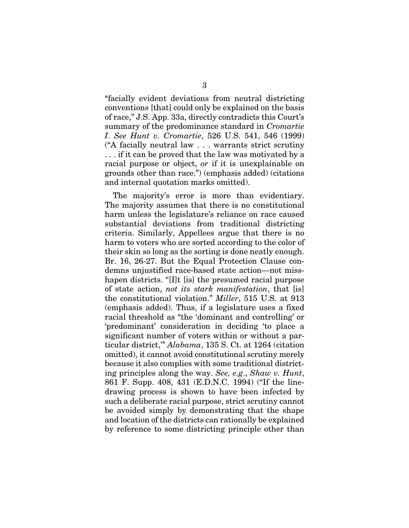"facially evident deviations from neutral districting conventions [that] could only be explained on the basis of race," J.S. App. 33a, directly contradicts this Court's summary of the predominance standard in *Cromartie I*. *See Hunt v. Cromartie*, 526 U.S. 541, 546 (1999) ("A facially neutral law . . . warrants strict scrutiny . . . if it can be proved that the law was motivated by a racial purpose or object, *or* if it is unexplainable on grounds other than race.") (emphasis added) (citations and internal quotation marks omitted).

The majority's error is more than evidentiary. The majority assumes that there is no constitutional harm unless the legislature's reliance on race caused substantial deviations from traditional districting criteria. Similarly, Appellees argue that there is no harm to voters who are sorted according to the color of their skin so long as the sorting is done neatly enough. Br. 16, 26-27. But the Equal Protection Clause condemns unjustified race-based state action—not misshapen districts. "[I]t [is] the presumed racial purpose of state action, *not its stark manifestation*, that [is] the constitutional violation." *Miller*, 515 U.S. at 913 (emphasis added). Thus, if a legislature uses a fixed racial threshold as "the 'dominant and controlling' or 'predominant' consideration in deciding 'to place a significant number of voters within or without a particular district,'" *Alabama*, 135 S. Ct. at 1264 (citation omitted), it cannot avoid constitutional scrutiny merely because it also complies with some traditional districting principles along the way. *See, e.g*., *Shaw v. Hunt*, 861 F. Supp. 408, 431 (E.D.N.C. 1994) ("If the linedrawing process is shown to have been infected by such a deliberate racial purpose, strict scrutiny cannot be avoided simply by demonstrating that the shape and location of the districts can rationally be explained by reference to some districting principle other than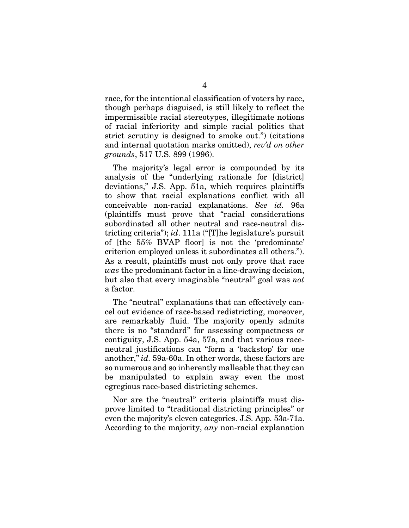race, for the intentional classification of voters by race, though perhaps disguised, is still likely to reflect the impermissible racial stereotypes, illegitimate notions of racial inferiority and simple racial politics that strict scrutiny is designed to smoke out.") (citations and internal quotation marks omitted), *rev'd on other grounds*, 517 U.S. 899 (1996).

The majority's legal error is compounded by its analysis of the "underlying rationale for [district] deviations," J.S. App. 51a, which requires plaintiffs to show that racial explanations conflict with all conceivable non-racial explanations. *See id.* 96a (plaintiffs must prove that "racial considerations subordinated all other neutral and race-neutral districting criteria"); *id*. 111a ("[T]he legislature's pursuit of [the 55% BVAP floor] is not the 'predominate' criterion employed unless it subordinates all others."). As a result, plaintiffs must not only prove that race *was* the predominant factor in a line-drawing decision, but also that every imaginable "neutral" goal was *not* a factor.

The "neutral" explanations that can effectively cancel out evidence of race-based redistricting, moreover, are remarkably fluid. The majority openly admits there is no "standard" for assessing compactness or contiguity, J.S. App. 54a, 57a, and that various raceneutral justifications can "form a 'backstop' for one another," *id.* 59a-60a. In other words, these factors are so numerous and so inherently malleable that they can be manipulated to explain away even the most egregious race-based districting schemes.

Nor are the "neutral" criteria plaintiffs must disprove limited to "traditional districting principles" or even the majority's eleven categories. J.S. App. 53a-71a. According to the majority, *any* non-racial explanation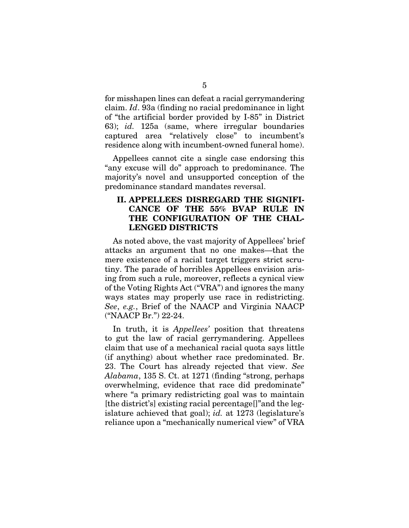for misshapen lines can defeat a racial gerrymandering claim. *Id*. 93a (finding no racial predominance in light of "the artificial border provided by I-85" in District 63); *id.* 125a (same, where irregular boundaries captured area "relatively close" to incumbent's residence along with incumbent-owned funeral home).

Appellees cannot cite a single case endorsing this "any excuse will do" approach to predominance. The majority's novel and unsupported conception of the predominance standard mandates reversal.

## II. APPELLEES DISREGARD THE SIGNIFI-CANCE OF THE 55% BVAP RULE IN THE CONFIGURATION OF THE CHAL-LENGED DISTRICTS

As noted above, the vast majority of Appellees' brief attacks an argument that no one makes—that the mere existence of a racial target triggers strict scrutiny. The parade of horribles Appellees envision arising from such a rule, moreover, reflects a cynical view of the Voting Rights Act ("VRA") and ignores the many ways states may properly use race in redistricting. *See*, *e.g.*, Brief of the NAACP and Virginia NAACP ("NAACP Br.") 22-24.

In truth, it is *Appellees'* position that threatens to gut the law of racial gerrymandering. Appellees claim that use of a mechanical racial quota says little (if anything) about whether race predominated. Br. 23. The Court has already rejected that view. *See Alabama*, 135 S. Ct. at 1271 (finding "strong, perhaps overwhelming, evidence that race did predominate" where "a primary redistricting goal was to maintain [the district's] existing racial percentage[]"and the legislature achieved that goal); *id.* at 1273 (legislature's reliance upon a "mechanically numerical view" of VRA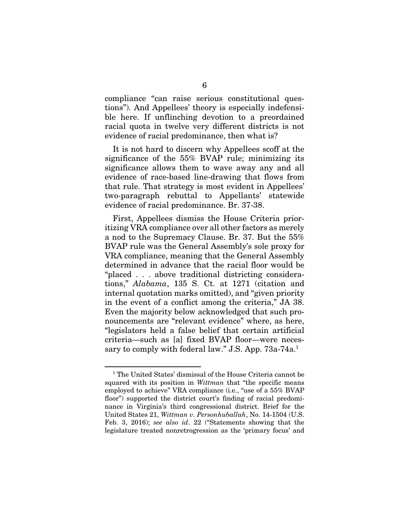compliance "can raise serious constitutional questions"). And Appellees' theory is especially indefensible here. If unflinching devotion to a preordained racial quota in twelve very different districts is not evidence of racial predominance, then what is?

It is not hard to discern why Appellees scoff at the significance of the 55% BVAP rule; minimizing its significance allows them to wave away any and all evidence of race-based line-drawing that flows from that rule. That strategy is most evident in Appellees' two-paragraph rebuttal to Appellants' statewide evidence of racial predominance. Br. 37-38.

First, Appellees dismiss the House Criteria prioritizing VRA compliance over all other factors as merely a nod to the Supremacy Clause. Br. 37. But the 55% BVAP rule was the General Assembly's sole proxy for VRA compliance, meaning that the General Assembly determined in advance that the racial floor would be "placed . . . above traditional districting considerations," *Alabama*, 135 S. Ct. at 1271 (citation and internal quotation marks omitted), and "given priority in the event of a conflict among the criteria," JA 38. Even the majority below acknowledged that such pronouncements are "relevant evidence" where, as here, "legislators held a false belief that certain artificial criteria—such as [a] fixed BVAP floor—were necessary to comply with federal law." J.S. App. 73a-74a.<sup>1</sup>

<sup>1</sup> The United States' dismissal of the House Criteria cannot be squared with its position in *Wittman* that "the specific means employed to achieve" VRA compliance (i.e., "use of a 55% BVAP floor") supported the district court's finding of racial predominance in Virginia's third congressional district. Brief for the United States 21, *Wittman v. Personhuballah*, No. 14-1504 (U.S. Feb. 3, 2016); *see also id*. 22 ("Statements showing that the legislature treated nonretrogression as the 'primary focus' and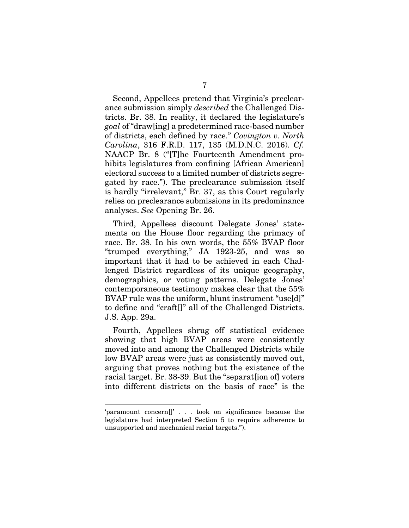Second, Appellees pretend that Virginia's preclearance submission simply *described* the Challenged Districts. Br. 38. In reality, it declared the legislature's *goal* of "draw[ing] a predetermined race-based number of districts, each defined by race." *Covington v. North Carolina*, 316 F.R.D. 117, 135 (M.D.N.C. 2016). *Cf.*  NAACP Br. 8 ("[T]he Fourteenth Amendment prohibits legislatures from confining [African American] electoral success to a limited number of districts segregated by race."). The preclearance submission itself is hardly "irrelevant," Br. 37, as this Court regularly relies on preclearance submissions in its predominance analyses. *See* Opening Br. 26.

Third, Appellees discount Delegate Jones' statements on the House floor regarding the primacy of race. Br. 38. In his own words, the 55% BVAP floor "trumped everything," JA 1923-25, and was so important that it had to be achieved in each Challenged District regardless of its unique geography, demographics, or voting patterns. Delegate Jones' contemporaneous testimony makes clear that the 55% BVAP rule was the uniform, blunt instrument "use[d]" to define and "craft[]" all of the Challenged Districts. J.S. App. 29a.

Fourth, Appellees shrug off statistical evidence showing that high BVAP areas were consistently moved into and among the Challenged Districts while low BVAP areas were just as consistently moved out, arguing that proves nothing but the existence of the racial target. Br. 38-39. But the "separat[ion of] voters into different districts on the basis of race" is the

<sup>&#</sup>x27;paramount concern[]' . . . took on significance because the legislature had interpreted Section 5 to require adherence to unsupported and mechanical racial targets.").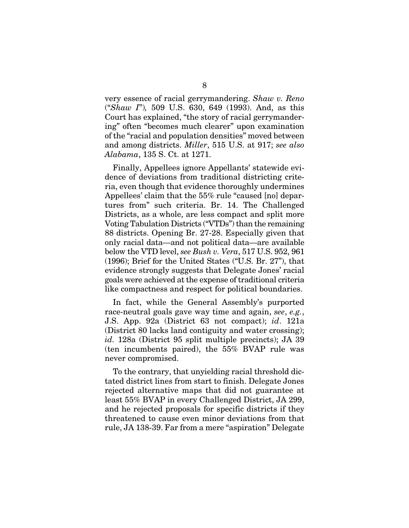very essence of racial gerrymandering. *Shaw v. Reno*  ("*Shaw I*")*,* 509 U.S. 630, 649 (1993). And, as this Court has explained, "the story of racial gerrymandering" often "becomes much clearer" upon examination of the "racial and population densities" moved between and among districts. *Miller*, 515 U.S. at 917; *see also Alabama*, 135 S. Ct. at 1271.

Finally, Appellees ignore Appellants' statewide evidence of deviations from traditional districting criteria, even though that evidence thoroughly undermines Appellees' claim that the 55% rule "caused [no] departures from" such criteria. Br. 14. The Challenged Districts, as a whole, are less compact and split more Voting Tabulation Districts ("VTDs") than the remaining 88 districts. Opening Br. 27-28. Especially given that only racial data—and not political data—are available below the VTD level, *see Bush v. Vera*, 517 U.S. 952, 961 (1996); Brief for the United States ("U.S. Br. 27"), that evidence strongly suggests that Delegate Jones' racial goals were achieved at the expense of traditional criteria like compactness and respect for political boundaries.

In fact, while the General Assembly's purported race-neutral goals gave way time and again, *see*, *e.g.*, J.S. App. 92a (District 63 not compact); *id*. 121a (District 80 lacks land contiguity and water crossing); *id.* 128a (District 95 split multiple precincts); JA 39 (ten incumbents paired), the 55% BVAP rule was never compromised.

To the contrary, that unyielding racial threshold dictated district lines from start to finish. Delegate Jones rejected alternative maps that did not guarantee at least 55% BVAP in every Challenged District, JA 299, and he rejected proposals for specific districts if they threatened to cause even minor deviations from that rule, JA 138-39. Far from a mere "aspiration" Delegate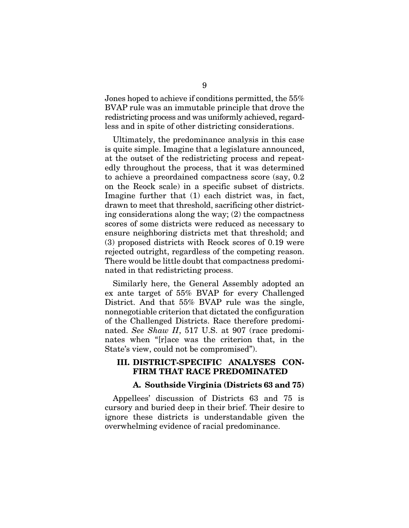Jones hoped to achieve if conditions permitted, the 55% BVAP rule was an immutable principle that drove the redistricting process and was uniformly achieved, regardless and in spite of other districting considerations.

Ultimately, the predominance analysis in this case is quite simple. Imagine that a legislature announced, at the outset of the redistricting process and repeatedly throughout the process, that it was determined to achieve a preordained compactness score (say, 0.2 on the Reock scale) in a specific subset of districts. Imagine further that (1) each district was, in fact, drawn to meet that threshold, sacrificing other districting considerations along the way; (2) the compactness scores of some districts were reduced as necessary to ensure neighboring districts met that threshold; and (3) proposed districts with Reock scores of 0.19 were rejected outright, regardless of the competing reason. There would be little doubt that compactness predominated in that redistricting process.

Similarly here, the General Assembly adopted an ex ante target of 55% BVAP for every Challenged District. And that 55% BVAP rule was the single, nonnegotiable criterion that dictated the configuration of the Challenged Districts. Race therefore predominated. *See Shaw II*, 517 U.S. at 907 (race predominates when "[r]ace was the criterion that, in the State's view, could not be compromised").

#### III. DISTRICT-SPECIFIC ANALYSES CON-FIRM THAT RACE PREDOMINATED

#### A. Southside Virginia (Districts 63 and 75)

Appellees' discussion of Districts 63 and 75 is cursory and buried deep in their brief. Their desire to ignore these districts is understandable given the overwhelming evidence of racial predominance.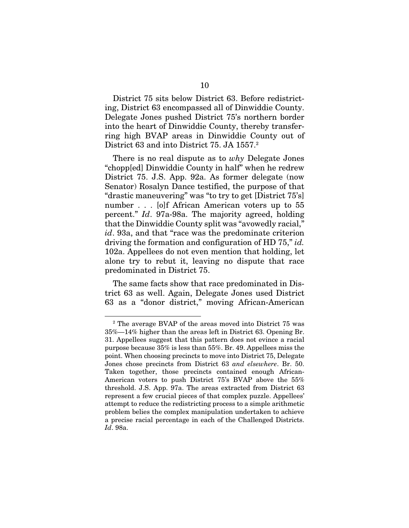District 75 sits below District 63. Before redistricting, District 63 encompassed all of Dinwiddie County. Delegate Jones pushed District 75's northern border into the heart of Dinwiddie County, thereby transferring high BVAP areas in Dinwiddie County out of District 63 and into District 75. JA 1557.<sup>2</sup>

There is no real dispute as to *why* Delegate Jones "chopp[ed] Dinwiddie County in half" when he redrew District 75. J.S. App. 92a. As former delegate (now Senator) Rosalyn Dance testified, the purpose of that "drastic maneuvering" was "to try to get [District 75's] number . . . [o]f African American voters up to 55 percent." *Id*. 97a-98a. The majority agreed, holding that the Dinwiddie County split was "avowedly racial," *id*. 93a, and that "race was the predominate criterion driving the formation and configuration of HD 75," *id.* 102a. Appellees do not even mention that holding, let alone try to rebut it, leaving no dispute that race predominated in District 75.

The same facts show that race predominated in District 63 as well. Again, Delegate Jones used District 63 as a "donor district," moving African-American

<sup>&</sup>lt;sup>2</sup> The average BVAP of the areas moved into District 75 was 35%—14% higher than the areas left in District 63. Opening Br. 31. Appellees suggest that this pattern does not evince a racial purpose because 35% is less than 55%. Br. 49. Appellees miss the point. When choosing precincts to move into District 75, Delegate Jones chose precincts from District 63 *and elsewhere*. Br. 50. Taken together, those precincts contained enough African-American voters to push District 75's BVAP above the 55% threshold. J.S. App. 97a. The areas extracted from District 63 represent a few crucial pieces of that complex puzzle. Appellees' attempt to reduce the redistricting process to a simple arithmetic problem belies the complex manipulation undertaken to achieve a precise racial percentage in each of the Challenged Districts. *Id*. 98a.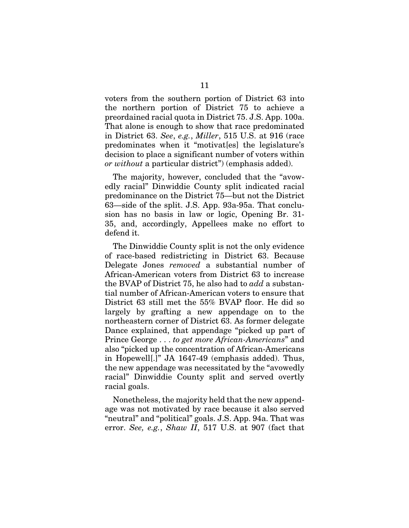voters from the southern portion of District 63 into the northern portion of District 75 to achieve a preordained racial quota in District 75. J.S. App. 100a. That alone is enough to show that race predominated in District 63. *See*, *e.g.*, *Miller*, 515 U.S. at 916 (race predominates when it "motivat[es] the legislature's decision to place a significant number of voters within *or without* a particular district") (emphasis added).

The majority, however, concluded that the "avowedly racial" Dinwiddie County split indicated racial predominance on the District 75—but not the District 63—side of the split. J.S. App. 93a-95a. That conclusion has no basis in law or logic, Opening Br. 31- 35, and, accordingly, Appellees make no effort to defend it.

The Dinwiddie County split is not the only evidence of race-based redistricting in District 63. Because Delegate Jones *removed* a substantial number of African-American voters from District 63 to increase the BVAP of District 75, he also had to *add* a substantial number of African-American voters to ensure that District 63 still met the 55% BVAP floor. He did so largely by grafting a new appendage on to the northeastern corner of District 63. As former delegate Dance explained, that appendage "picked up part of Prince George . . . *to get more African-Americans*" and also "picked up the concentration of African-Americans in Hopewell[.]" JA 1647-49 (emphasis added). Thus, the new appendage was necessitated by the "avowedly racial" Dinwiddie County split and served overtly racial goals.

Nonetheless, the majority held that the new appendage was not motivated by race because it also served "neutral" and "political" goals. J.S. App. 94a. That was error. *See, e.g.*, *Shaw II*, 517 U.S. at 907 (fact that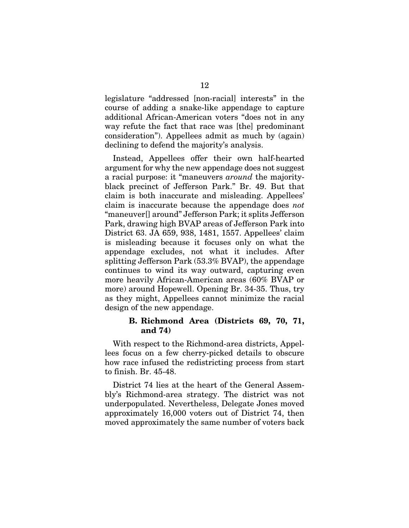legislature "addressed [non-racial] interests" in the course of adding a snake-like appendage to capture additional African-American voters "does not in any way refute the fact that race was [the] predominant consideration"). Appellees admit as much by (again) declining to defend the majority's analysis.

Instead, Appellees offer their own half-hearted argument for why the new appendage does not suggest a racial purpose: it "maneuvers *around* the majorityblack precinct of Jefferson Park." Br. 49. But that claim is both inaccurate and misleading. Appellees' claim is inaccurate because the appendage does *not* "maneuver[] around" Jefferson Park; it splits Jefferson Park, drawing high BVAP areas of Jefferson Park into District 63. JA 659, 938, 1481, 1557. Appellees' claim is misleading because it focuses only on what the appendage excludes, not what it includes. After splitting Jefferson Park (53.3% BVAP), the appendage continues to wind its way outward, capturing even more heavily African-American areas (60% BVAP or more) around Hopewell. Opening Br. 34-35. Thus, try as they might, Appellees cannot minimize the racial design of the new appendage.

#### B. Richmond Area (Districts 69, 70, 71, and 74)

With respect to the Richmond-area districts, Appellees focus on a few cherry-picked details to obscure how race infused the redistricting process from start to finish. Br. 45-48.

District 74 lies at the heart of the General Assembly's Richmond-area strategy. The district was not underpopulated. Nevertheless, Delegate Jones moved approximately 16,000 voters out of District 74, then moved approximately the same number of voters back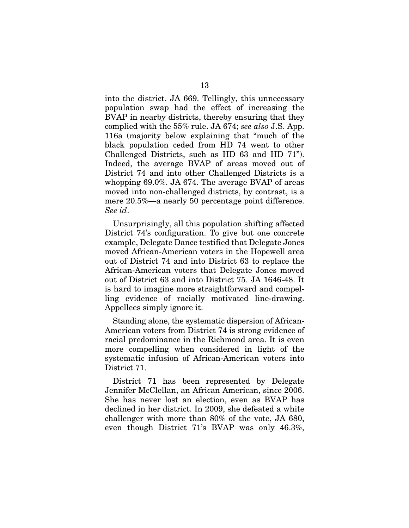into the district. JA 669. Tellingly, this unnecessary population swap had the effect of increasing the BVAP in nearby districts, thereby ensuring that they complied with the 55% rule. JA 674; *see also* J.S. App. 116a (majority below explaining that "much of the black population ceded from HD 74 went to other Challenged Districts, such as HD 63 and HD 71"). Indeed, the average BVAP of areas moved out of District 74 and into other Challenged Districts is a whopping 69.0%. JA 674. The average BVAP of areas moved into non-challenged districts, by contrast, is a mere 20.5%—a nearly 50 percentage point difference. *See id*.

Unsurprisingly, all this population shifting affected District 74's configuration. To give but one concrete example, Delegate Dance testified that Delegate Jones moved African-American voters in the Hopewell area out of District 74 and into District 63 to replace the African-American voters that Delegate Jones moved out of District 63 and into District 75. JA 1646-48. It is hard to imagine more straightforward and compelling evidence of racially motivated line-drawing. Appellees simply ignore it.

Standing alone, the systematic dispersion of African-American voters from District 74 is strong evidence of racial predominance in the Richmond area. It is even more compelling when considered in light of the systematic infusion of African-American voters into District 71.

District 71 has been represented by Delegate Jennifer McClellan, an African American, since 2006. She has never lost an election, even as BVAP has declined in her district. In 2009, she defeated a white challenger with more than 80% of the vote, JA 680, even though District 71's BVAP was only 46.3%,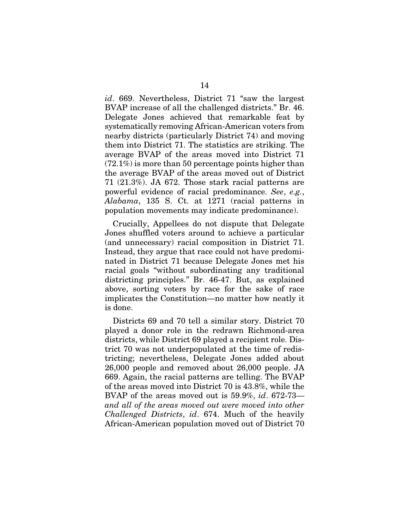*id*. 669. Nevertheless, District 71 "saw the largest BVAP increase of all the challenged districts." Br. 46. Delegate Jones achieved that remarkable feat by systematically removing African-American voters from nearby districts (particularly District 74) and moving them into District 71. The statistics are striking. The average BVAP of the areas moved into District 71 (72.1%) is more than 50 percentage points higher than the average BVAP of the areas moved out of District 71 (21.3%). JA 672. Those stark racial patterns are powerful evidence of racial predominance. *See*, *e.g.*, *Alabama*, 135 S. Ct. at 1271 (racial patterns in population movements may indicate predominance).

Crucially, Appellees do not dispute that Delegate Jones shuffled voters around to achieve a particular (and unnecessary) racial composition in District 71. Instead, they argue that race could not have predominated in District 71 because Delegate Jones met his racial goals "without subordinating any traditional districting principles." Br. 46-47. But, as explained above, sorting voters by race for the sake of race implicates the Constitution—no matter how neatly it is done.

Districts 69 and 70 tell a similar story. District 70 played a donor role in the redrawn Richmond-area districts, while District 69 played a recipient role. District 70 was not underpopulated at the time of redistricting; nevertheless, Delegate Jones added about 26,000 people and removed about 26,000 people. JA 669. Again, the racial patterns are telling. The BVAP of the areas moved into District 70 is 43.8%, while the BVAP of the areas moved out is 59.9%, *id*. 672-73 *and all of the areas moved out were moved into other Challenged Districts*, *id*. 674. Much of the heavily African-American population moved out of District 70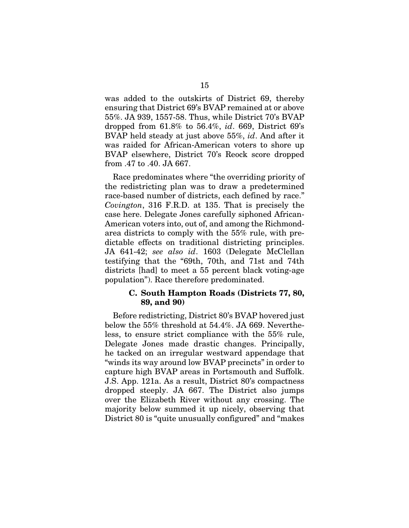was added to the outskirts of District 69, thereby ensuring that District 69's BVAP remained at or above 55%. JA 939, 1557-58. Thus, while District 70's BVAP dropped from 61.8% to 56.4%, *id*. 669, District 69's BVAP held steady at just above 55%, *id*. And after it was raided for African-American voters to shore up BVAP elsewhere, District 70's Reock score dropped from .47 to .40. JA 667.

Race predominates where "the overriding priority of the redistricting plan was to draw a predetermined race-based number of districts, each defined by race." *Covington*, 316 F.R.D. at 135. That is precisely the case here. Delegate Jones carefully siphoned African-American voters into, out of, and among the Richmondarea districts to comply with the 55% rule, with predictable effects on traditional districting principles. JA 641-42; *see also id*. 1603 (Delegate McClellan testifying that the "69th, 70th, and 71st and 74th districts [had] to meet a 55 percent black voting-age population"). Race therefore predominated.

#### C. South Hampton Roads (Districts 77, 80, 89, and 90)

Before redistricting, District 80's BVAP hovered just below the 55% threshold at 54.4%. JA 669. Nevertheless, to ensure strict compliance with the 55% rule, Delegate Jones made drastic changes. Principally, he tacked on an irregular westward appendage that "winds its way around low BVAP precincts" in order to capture high BVAP areas in Portsmouth and Suffolk. J.S. App. 121a. As a result, District 80's compactness dropped steeply. JA 667. The District also jumps over the Elizabeth River without any crossing. The majority below summed it up nicely, observing that District 80 is "quite unusually configured" and "makes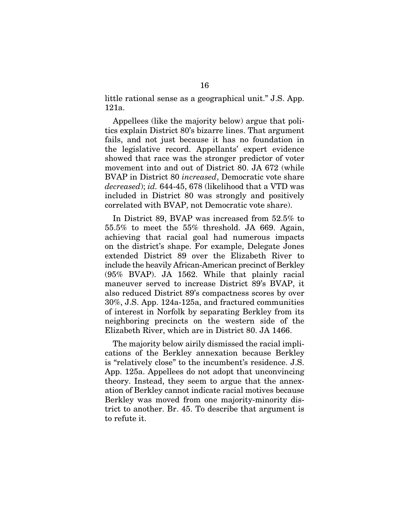little rational sense as a geographical unit." J.S. App. 121a.

Appellees (like the majority below) argue that politics explain District 80's bizarre lines. That argument fails, and not just because it has no foundation in the legislative record. Appellants' expert evidence showed that race was the stronger predictor of voter movement into and out of District 80. JA 672 (while BVAP in District 80 *increased*, Democratic vote share *decreased*); *id.* 644-45, 678 (likelihood that a VTD was included in District 80 was strongly and positively correlated with BVAP, not Democratic vote share).

In District 89, BVAP was increased from 52.5% to 55.5% to meet the 55% threshold. JA 669. Again, achieving that racial goal had numerous impacts on the district's shape. For example, Delegate Jones extended District 89 over the Elizabeth River to include the heavily African-American precinct of Berkley (95% BVAP). JA 1562. While that plainly racial maneuver served to increase District 89's BVAP, it also reduced District 89's compactness scores by over 30%, J.S. App. 124a-125a, and fractured communities of interest in Norfolk by separating Berkley from its neighboring precincts on the western side of the Elizabeth River, which are in District 80. JA 1466.

The majority below airily dismissed the racial implications of the Berkley annexation because Berkley is "relatively close" to the incumbent's residence. J.S. App. 125a. Appellees do not adopt that unconvincing theory. Instead, they seem to argue that the annexation of Berkley cannot indicate racial motives because Berkley was moved from one majority-minority district to another. Br. 45. To describe that argument is to refute it.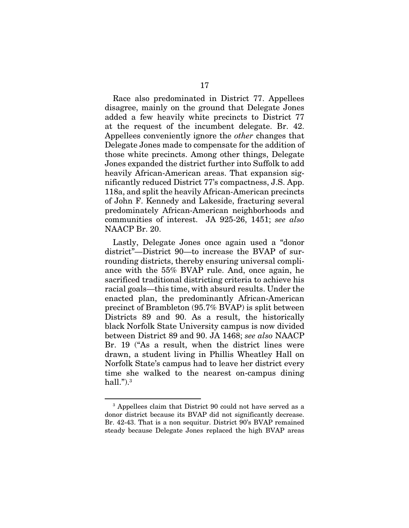Race also predominated in District 77. Appellees disagree, mainly on the ground that Delegate Jones added a few heavily white precincts to District 77 at the request of the incumbent delegate. Br. 42. Appellees conveniently ignore the *other* changes that Delegate Jones made to compensate for the addition of those white precincts. Among other things, Delegate Jones expanded the district further into Suffolk to add heavily African-American areas. That expansion significantly reduced District 77's compactness, J.S. App. 118a, and split the heavily African-American precincts of John F. Kennedy and Lakeside, fracturing several predominately African-American neighborhoods and communities of interest. JA 925-26, 1451; *see also*  NAACP Br. 20.

Lastly, Delegate Jones once again used a "donor district"—District 90—to increase the BVAP of surrounding districts, thereby ensuring universal compliance with the 55% BVAP rule. And, once again, he sacrificed traditional districting criteria to achieve his racial goals—this time, with absurd results. Under the enacted plan, the predominantly African-American precinct of Brambleton (95.7% BVAP) is split between Districts 89 and 90. As a result, the historically black Norfolk State University campus is now divided between District 89 and 90. JA 1468; *see also* NAACP Br. 19 ("As a result, when the district lines were drawn, a student living in Phillis Wheatley Hall on Norfolk State's campus had to leave her district every time she walked to the nearest on-campus dining hall." $)$ . $3$ 

<sup>&</sup>lt;sup>3</sup> Appellees claim that District 90 could not have served as a donor district because its BVAP did not significantly decrease. Br. 42-43. That is a non sequitur. District 90's BVAP remained steady because Delegate Jones replaced the high BVAP areas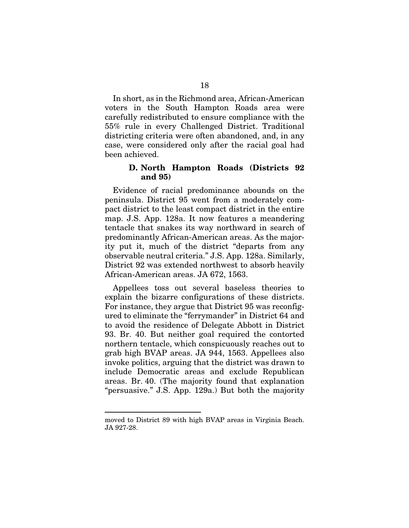In short, as in the Richmond area, African-American voters in the South Hampton Roads area were carefully redistributed to ensure compliance with the 55% rule in every Challenged District. Traditional districting criteria were often abandoned, and, in any case, were considered only after the racial goal had been achieved.

## D. North Hampton Roads (Districts 92 and 95)

Evidence of racial predominance abounds on the peninsula. District 95 went from a moderately compact district to the least compact district in the entire map. J.S. App. 128a. It now features a meandering tentacle that snakes its way northward in search of predominantly African-American areas. As the majority put it, much of the district "departs from any observable neutral criteria." J.S. App. 128a. Similarly, District 92 was extended northwest to absorb heavily African-American areas. JA 672, 1563.

Appellees toss out several baseless theories to explain the bizarre configurations of these districts. For instance, they argue that District 95 was reconfigured to eliminate the "ferrymander" in District 64 and to avoid the residence of Delegate Abbott in District 93. Br. 40. But neither goal required the contorted northern tentacle, which conspicuously reaches out to grab high BVAP areas. JA 944, 1563. Appellees also invoke politics, arguing that the district was drawn to include Democratic areas and exclude Republican areas. Br. 40. (The majority found that explanation "persuasive." J.S. App. 129a.) But both the majority

moved to District 89 with high BVAP areas in Virginia Beach. JA 927-28.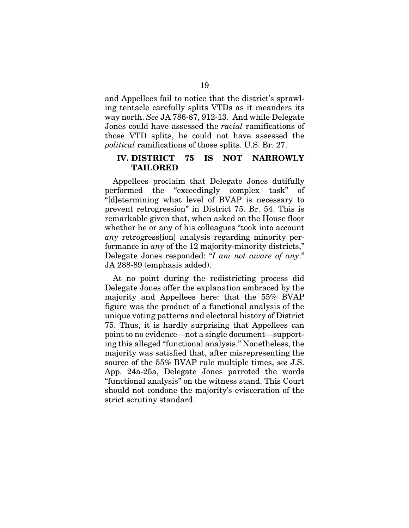and Appellees fail to notice that the district's sprawling tentacle carefully splits VTDs as it meanders its way north. *See* JA 786-87, 912-13. And while Delegate Jones could have assessed the *racial* ramifications of those VTD splits, he could not have assessed the *political* ramifications of those splits. U.S. Br. 27.

## IV. DISTRICT 75 IS NOT NARROWLY TAILORED

Appellees proclaim that Delegate Jones dutifully performed the "exceedingly complex task" of "[d]etermining what level of BVAP is necessary to prevent retrogression" in District 75. Br. 54. This is remarkable given that, when asked on the House floor whether he or any of his colleagues "took into account *any* retrogress[ion] analysis regarding minority performance in *any* of the 12 majority-minority districts," Delegate Jones responded: "*I am not aware of any*." JA 288-89 (emphasis added).

At no point during the redistricting process did Delegate Jones offer the explanation embraced by the majority and Appellees here: that the 55% BVAP figure was the product of a functional analysis of the unique voting patterns and electoral history of District 75. Thus, it is hardly surprising that Appellees can point to no evidence—not a single document—supporting this alleged "functional analysis." Nonetheless, the majority was satisfied that, after misrepresenting the source of the 55% BVAP rule multiple times, *see* J.S. App. 24a-25a, Delegate Jones parroted the words "functional analysis" on the witness stand. This Court should not condone the majority's evisceration of the strict scrutiny standard.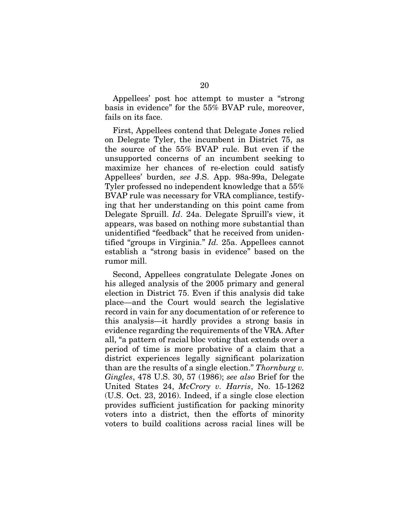Appellees' post hoc attempt to muster a "strong basis in evidence" for the 55% BVAP rule, moreover, fails on its face.

First, Appellees contend that Delegate Jones relied on Delegate Tyler, the incumbent in District 75, as the source of the 55% BVAP rule. But even if the unsupported concerns of an incumbent seeking to maximize her chances of re-election could satisfy Appellees' burden, *see* J.S. App. 98a-99a, Delegate Tyler professed no independent knowledge that a 55% BVAP rule was necessary for VRA compliance, testifying that her understanding on this point came from Delegate Spruill. *Id*. 24a. Delegate Spruill's view, it appears, was based on nothing more substantial than unidentified "feedback" that he received from unidentified "groups in Virginia." *Id.* 25a. Appellees cannot establish a "strong basis in evidence" based on the rumor mill.

Second, Appellees congratulate Delegate Jones on his alleged analysis of the 2005 primary and general election in District 75. Even if this analysis did take place—and the Court would search the legislative record in vain for any documentation of or reference to this analysis—it hardly provides a strong basis in evidence regarding the requirements of the VRA. After all, "a pattern of racial bloc voting that extends over a period of time is more probative of a claim that a district experiences legally significant polarization than are the results of a single election." *Thornburg v. Gingles*, 478 U.S. 30, 57 (1986); *see also* Brief for the United States 24, *McCrory v. Harris*, No. 15-1262 (U.S. Oct. 23, 2016). Indeed, if a single close election provides sufficient justification for packing minority voters into a district, then the efforts of minority voters to build coalitions across racial lines will be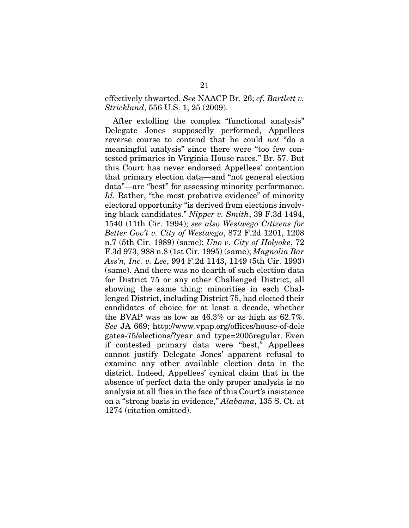effectively thwarted. *See* NAACP Br. 26; *cf. Bartlett v. Strickland*, 556 U.S. 1, 25 (2009).

After extolling the complex "functional analysis" Delegate Jones supposedly performed, Appellees reverse course to contend that he could *not* "do a meaningful analysis" since there were "too few contested primaries in Virginia House races." Br. 57. But this Court has never endorsed Appellees' contention that primary election data—and "not general election data"—are "best" for assessing minority performance. *Id.* Rather, "the most probative evidence" of minority electoral opportunity "is derived from elections involving black candidates." *Nipper v. Smith*, 39 F.3d 1494, 1540 (11th Cir. 1994); *see also Westwego Citizens for Better Gov't v. City of Westwego*, 872 F.2d 1201, 1208 n.7 (5th Cir. 1989) (same); *Uno v. City of Holyoke*, 72 F.3d 973, 988 n.8 (1st Cir. 1995) (same); *Magnolia Bar Ass'n, Inc. v. Lee*, 994 F.2d 1143, 1149 (5th Cir. 1993) (same). And there was no dearth of such election data for District 75 or any other Challenged District, all showing the same thing: minorities in each Challenged District, including District 75, had elected their candidates of choice for at least a decade, whether the BVAP was as low as 46.3% or as high as 62.7%. *See* JA 669; http://www.vpap.org/offices/house-of-dele gates-75/elections/?year\_and\_type=2005regular. Even if contested primary data were "best," Appellees cannot justify Delegate Jones' apparent refusal to examine any other available election data in the district. Indeed, Appellees' cynical claim that in the absence of perfect data the only proper analysis is no analysis at all flies in the face of this Court's insistence on a "strong basis in evidence," *Alabama*, 135 S. Ct. at 1274 (citation omitted).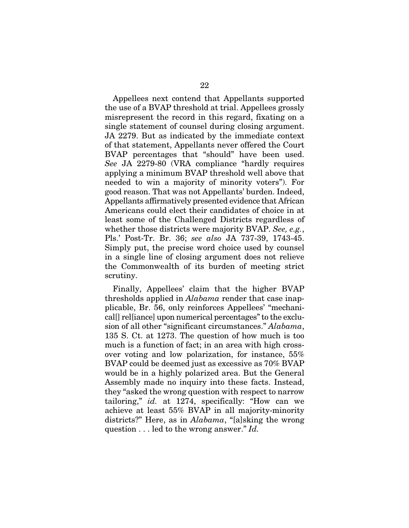Appellees next contend that Appellants supported the use of a BVAP threshold at trial. Appellees grossly misrepresent the record in this regard, fixating on a single statement of counsel during closing argument. JA 2279. But as indicated by the immediate context of that statement, Appellants never offered the Court BVAP percentages that "should" have been used. *See* JA 2279-80 (VRA compliance "hardly requires applying a minimum BVAP threshold well above that needed to win a majority of minority voters"). For good reason. That was not Appellants' burden. Indeed, Appellants affirmatively presented evidence that African Americans could elect their candidates of choice in at least some of the Challenged Districts regardless of whether those districts were majority BVAP. *See, e.g.*, Pls.' Post-Tr. Br. 36; *see also* JA 737-39, 1743-45. Simply put, the precise word choice used by counsel in a single line of closing argument does not relieve the Commonwealth of its burden of meeting strict scrutiny.

Finally, Appellees' claim that the higher BVAP thresholds applied in *Alabama* render that case inapplicable, Br. 56, only reinforces Appellees' "mechanical[] rel[iance] upon numerical percentages" to the exclusion of all other "significant circumstances." *Alabama*, 135 S. Ct. at 1273. The question of how much is too much is a function of fact; in an area with high crossover voting and low polarization, for instance, 55% BVAP could be deemed just as excessive as 70% BVAP would be in a highly polarized area. But the General Assembly made no inquiry into these facts. Instead, they "asked the wrong question with respect to narrow tailoring," *id.* at 1274, specifically: "How can we achieve at least 55% BVAP in all majority-minority districts?" Here, as in *Alabama*, "[a]sking the wrong question . . . led to the wrong answer." *Id.*